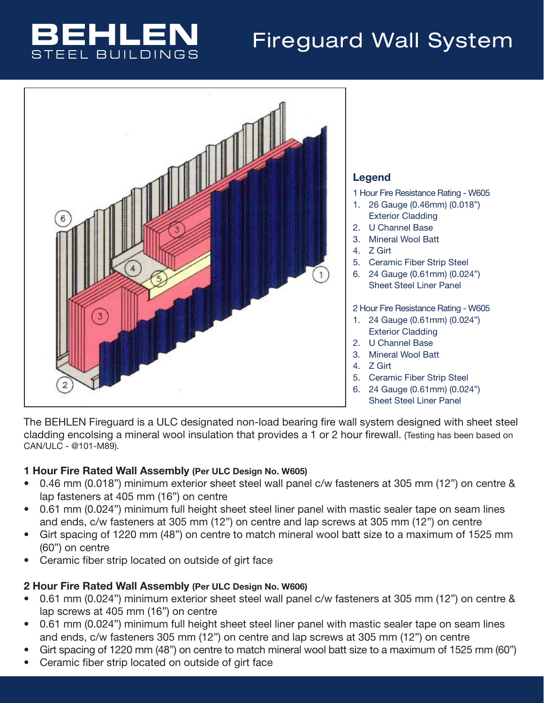## BEHLEI **STEEL BUILDINGS**

# Fireguard Wall System



The BEHLEN Fireguard is a ULC designated non-load bearing fire wall system designed with sheet steel cladding encolsing a mineral wool insulation that provides a 1 or 2 hour firewall. (Testing has been based on CAN/ULC - @101-M89).

#### 1 Hour Fire Rated Wall Assembly (Per ULC Design No. W605)

- 0.46 mm (0.018") minimum exterior sheet steel wall panel c/w fasteners at 305 mm (12") on centre & lap fasteners at 405 mm (16") on centre
- 0.61 mm (0.024") minimum full height sheet steel liner panel with mastic sealer tape on seam lines and ends, c/w fasteners at 305 mm (12") on centre and lap screws at 305 mm (12") on centre
- Girt spacing of 1220 mm (48") on centre to match mineral wool batt size to a maximum of 1525 mm (60") on centre
- Ceramic fiber strip located on outside of girt face

#### 2 Hour Fire Rated Wall Assembly (Per ULC Design No. W606)

- 0.61 mm (0.024") minimum exterior sheet steel wall panel c/w fasteners at 305 mm (12") on centre & lap screws at 405 mm (16") on centre
- 0.61 mm (0.024") minimum full height sheet steel liner panel with mastic sealer tape on seam lines and ends, c/w fasteners 305 mm (12") on centre and lap screws at 305 mm (12") on centre
- Girt spacing of 1220 mm (48") on centre to match mineral wool batt size to a maximum of 1525 mm (60")
- Ceramic fiber strip located on outside of girt face